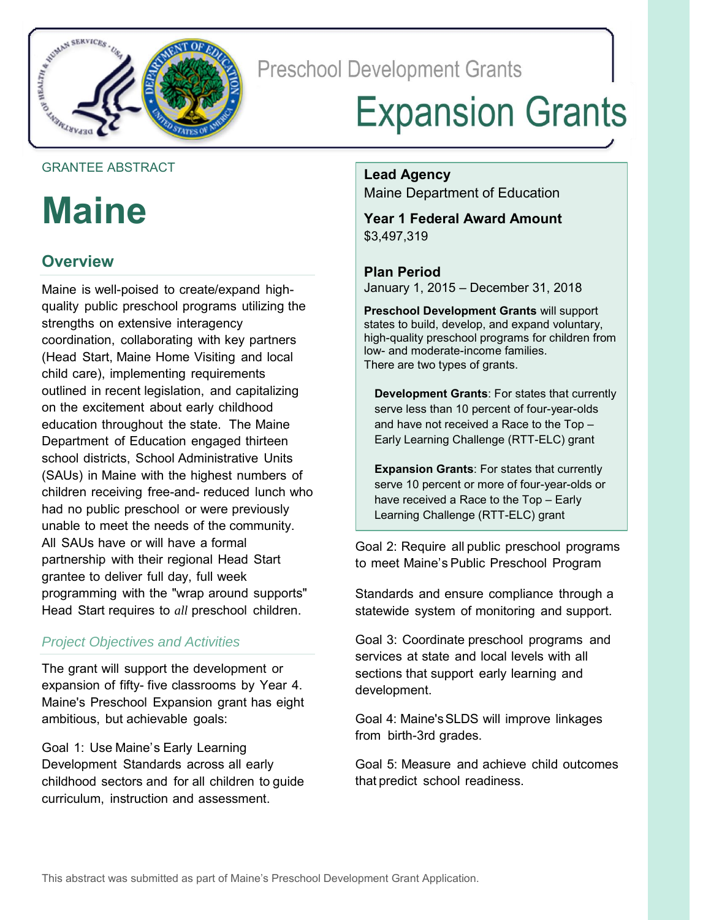

**Preschool Development Grants** 

# **Expansion Grants**

#### GRANTEE ABSTRACT

## **Maine**

## **Overview**

Maine is well-poised to create/expand highquality public preschool programs utilizing the strengths on extensive interagency coordination, collaborating with key partners (Head Start, Maine Home Visiting and local child care), implementing requirements outlined in recent legislation, and capitalizing on the excitement about early childhood education throughout the state. The Maine Department of Education engaged thirteen school districts, School Administrative Units (SAUs) in Maine with the highest numbers of children receiving free-and- reduced lunch who had no public preschool or were previously unable to meet the needs of the community. All SAUs have or will have a formal partnership with their regional Head Start grantee to deliver full day, full week programming with the "wrap around supports" Head Start requires to *all* preschool children.

## *Project Objectives and Activities*

The grant will support the development or expansion of fifty- five classrooms by Year 4. Maine's Preschool Expansion grant has eight ambitious, but achievable goals:

Goal 1: Use Maine's Early Learning Development Standards across all early childhood sectors and for all children to guide curriculum, instruction and assessment.

**Lead Agency** Maine Department of Education

**Year 1 Federal Award Amount** \$3,497,319

**Plan Period** January 1, 2015 – December 31, 2018

**Preschool Development Grants** will support states to build, develop, and expand voluntary, high-quality preschool programs for children from low- and moderate-income families. There are two types of grants.

**Development Grants**: For states that currently serve less than 10 percent of four-year-olds and have not received a Race to the Top – Early Learning Challenge (RTT-ELC) grant

**Expansion Grants**: For states that currently serve 10 percent or more of four-year-olds or have received a Race to the Top – Early Learning Challenge (RTT-ELC) grant

Goal 2: Require all public preschool programs to meet Maine's Public Preschool Program

Standards and ensure compliance through a statewide system of monitoring and support.

Goal 3: Coordinate preschool programs and services at state and local levels with all sections that support early learning and development.

Goal 4: Maine's SLDS will improve linkages from birth-3rd grades.

Goal 5: Measure and achieve child outcomes that predict school readiness.